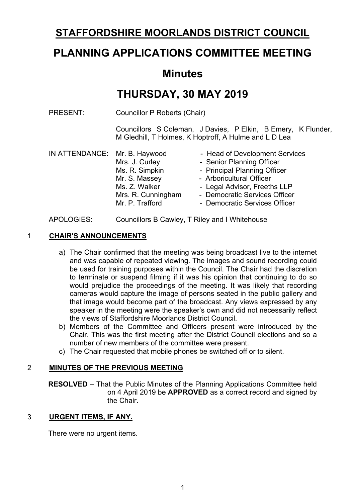## **STAFFORDSHIRE MOORLANDS DISTRICT COUNCIL**

# **PLANNING APPLICATIONS COMMITTEE MEETING**

## **Minutes**

# **THURSDAY, 30 MAY 2019**

PRESENT: Councillor P Roberts (Chair)

Councillors S Coleman, J Davies, P Elkin, B Emery, K Flunder, M Gledhill, T Holmes, K Hoptroff, A Hulme and L D Lea

| IN ATTENDANCE: Mr. B. Haywood |                    | - Head of Development Services |
|-------------------------------|--------------------|--------------------------------|
|                               | Mrs. J. Curley     | - Senior Planning Officer      |
|                               | Ms. R. Simpkin     | - Principal Planning Officer   |
|                               | Mr. S. Massey      | - Arboricultural Officer       |
|                               | Ms. Z. Walker      | - Legal Advisor, Freeths LLP   |
|                               | Mrs. R. Cunningham | - Democratic Services Officer  |
|                               | Mr. P. Trafford    | - Democratic Services Officer  |
|                               |                    |                                |

#### APOLOGIES: Councillors B Cawley, T Riley and I Whitehouse

#### 1 **CHAIR'S ANNOUNCEMENTS**

- a) The Chair confirmed that the meeting was being broadcast live to the internet and was capable of repeated viewing. The images and sound recording could be used for training purposes within the Council. The Chair had the discretion to terminate or suspend filming if it was his opinion that continuing to do so would prejudice the proceedings of the meeting. It was likely that recording cameras would capture the image of persons seated in the public gallery and that image would become part of the broadcast. Any views expressed by any speaker in the meeting were the speaker's own and did not necessarily reflect the views of Staffordshire Moorlands District Council.
- b) Members of the Committee and Officers present were introduced by the Chair. This was the first meeting after the District Council elections and so a number of new members of the committee were present.
- c) The Chair requested that mobile phones be switched off or to silent.

#### 2 **MINUTES OF THE PREVIOUS MEETING**

**RESOLVED** – That the Public Minutes of the Planning Applications Committee held on 4 April 2019 be **APPROVED** as a correct record and signed by the Chair.

#### 3 **URGENT ITEMS, IF ANY.**

There were no urgent items.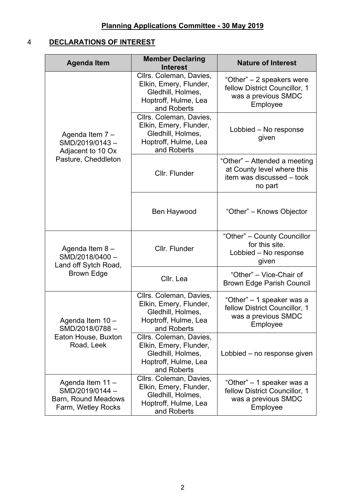## 4 **DECLARATIONS OF INTEREST**

| <b>Agenda Item</b>                                                              | <b>Member Declaring</b><br><b>Interest</b>                                                                    | <b>Nature of Interest</b>                                                                          |
|---------------------------------------------------------------------------------|---------------------------------------------------------------------------------------------------------------|----------------------------------------------------------------------------------------------------|
|                                                                                 | Cllrs. Coleman, Davies,<br>Elkin, Emery, Flunder,<br>Gledhill, Holmes,<br>Hoptroff, Hulme, Lea<br>and Roberts | "Other" – 2 speakers were<br>fellow District Councillor, 1<br>was a previous SMDC<br>Employee      |
| Agenda Item 7 -<br>SMD/2019/0143-<br>Adjacent to 10 Ox<br>Pasture, Cheddleton   | Cllrs. Coleman, Davies,<br>Elkin, Emery, Flunder,<br>Gledhill, Holmes,<br>Hoptroff, Hulme, Lea<br>and Roberts | Lobbied – No response<br>given                                                                     |
|                                                                                 | Cllr. Flunder                                                                                                 | "Other" – Attended a meeting<br>at County level where this<br>item was discussed - took<br>no part |
|                                                                                 | Ben Haywood                                                                                                   | "Other" – Knows Objector                                                                           |
| Agenda Item 8-<br>SMD/2018/0400-<br>Land off Sytch Road,<br><b>Brown Edge</b>   | Cllr. Flunder                                                                                                 | "Other" – County Councillor<br>for this site.<br>Lobbied - No response<br>given                    |
|                                                                                 | Cllr. Lea                                                                                                     | "Other" - Vice-Chair of<br><b>Brown Edge Parish Council</b>                                        |
| Agenda Item 10 -<br>SMD/2018/0788-                                              | Cllrs. Coleman, Davies,<br>Elkin, Emery, Flunder,<br>Gledhill, Holmes,<br>Hoptroff, Hulme, Lea<br>and Roberts | "Other" – 1 speaker was a<br>fellow District Councillor, 1<br>was a previous SMDC<br>Employee      |
| Eaton House, Buxton<br>Road, Leek                                               | Cllrs. Coleman, Davies,<br>Elkin, Emery, Flunder,<br>Gledhill, Holmes,<br>Hoptroff, Hulme, Lea<br>and Roberts | Lobbied – no response given                                                                        |
| Agenda Item 11 -<br>SMD/2019/0144-<br>Barn, Round Meadows<br>Farm, Wetley Rocks | Cllrs. Coleman, Davies,<br>Elkin, Emery, Flunder,<br>Gledhill, Holmes,<br>Hoptroff, Hulme, Lea<br>and Roberts | "Other" – 1 speaker was a<br>fellow District Councillor, 1<br>was a previous SMDC<br>Employee      |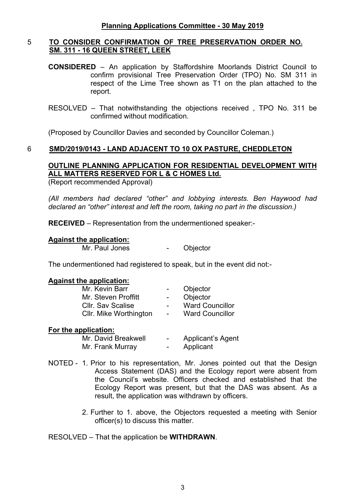#### 5 **TO CONSIDER CONFIRMATION OF TREE PRESERVATION ORDER NO. SM. 311 - 16 QUEEN STREET, LEEK**

- **CONSIDERED** An application by Staffordshire Moorlands District Council to confirm provisional Tree Preservation Order (TPO) No. SM 311 in respect of the Lime Tree shown as T1 on the plan attached to the report.
- RESOLVED That notwithstanding the objections received , TPO No. 311 be confirmed without modification.

(Proposed by Councillor Davies and seconded by Councillor Coleman.)

#### 6 **SMD/2019/0143 - LAND ADJACENT TO 10 OX PASTURE, CHEDDLETON**

### **OUTLINE PLANNING APPLICATION FOR RESIDENTIAL DEVELOPMENT WITH ALL MATTERS RESERVED FOR L & C HOMES Ltd.**

(Report recommended Approval)

*(All members had declared "other" and lobbying interests. Ben Haywood had declared an "other" interest and left the room, taking no part in the discussion.)*

**RECEIVED** – Representation from the undermentioned speaker:-

#### **Against the application:**

Mr. Paul Jones - Objector

The undermentioned had registered to speak, but in the event did not:-

#### **Against the application:**

| Mr. Kevin Barr           |                          | Objector               |
|--------------------------|--------------------------|------------------------|
| Mr. Steven Proffitt      | $\sim$                   | Objector               |
| <b>Cllr. Sav Scalise</b> |                          | <b>Ward Councillor</b> |
| Cllr. Mike Worthington   | $\overline{\phantom{a}}$ | <b>Ward Councillor</b> |
|                          |                          |                        |

#### **For the application:**

| Mr. David Breakwell | - | <b>Applicant's Agent</b> |
|---------------------|---|--------------------------|
| Mr. Frank Murray    | - | Applicant                |

- NOTED 1. Prior to his representation, Mr. Jones pointed out that the Design Access Statement (DAS) and the Ecology report were absent from the Council's website. Officers checked and established that the Ecology Report was present, but that the DAS was absent. As a result, the application was withdrawn by officers.
	- 2. Further to 1. above, the Objectors requested a meeting with Senior officer(s) to discuss this matter.

RESOLVED – That the application be **WITHDRAWN**.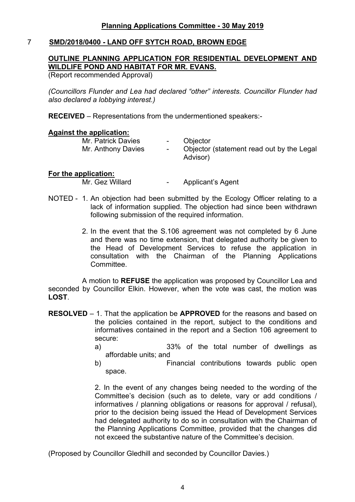#### 7 **SMD/2018/0400 - LAND OFF SYTCH ROAD, BROWN EDGE**

### **OUTLINE PLANNING APPLICATION FOR RESIDENTIAL DEVELOPMENT AND WILDLIFE POND AND HABITAT FOR MR. EVANS.**

(Report recommended Approval)

*(Councillors Flunder and Lea had declared "other" interests. Councillor Flunder had also declared a lobbying interest.)*

**RECEIVED** – Representations from the undermentioned speakers:-

#### **Against the application:**

| Mr. Patrick Davies | $\sim$ 100 $\mu$ | Objector                                              |
|--------------------|------------------|-------------------------------------------------------|
| Mr. Anthony Davies | $\sim$           | Objector (statement read out by the Legal<br>Advisor) |
|                    |                  |                                                       |

#### **For the application:**

Mr. Gez Willard **-** Applicant's Agent

- NOTED 1. An objection had been submitted by the Ecology Officer relating to a lack of information supplied. The objection had since been withdrawn following submission of the required information.
	- 2. In the event that the S.106 agreement was not completed by 6 June and there was no time extension, that delegated authority be given to the Head of Development Services to refuse the application in consultation with the Chairman of the Planning Applications Committee.

A motion to **REFUSE** the application was proposed by Councillor Lea and seconded by Councillor Elkin. However, when the vote was cast, the motion was **LOST**.

- **RESOLVED** 1. That the application be **APPROVED** for the reasons and based on the policies contained in the report, subject to the conditions and informatives contained in the report and a Section 106 agreement to secure:
	- a) 33% of the total number of dwellings as affordable units; and
	- b) Financial contributions towards public open space.

2. In the event of any changes being needed to the wording of the Committee's decision (such as to delete, vary or add conditions / informatives / planning obligations or reasons for approval / refusal), prior to the decision being issued the Head of Development Services had delegated authority to do so in consultation with the Chairman of the Planning Applications Committee, provided that the changes did not exceed the substantive nature of the Committee's decision.

(Proposed by Councillor Gledhill and seconded by Councillor Davies.)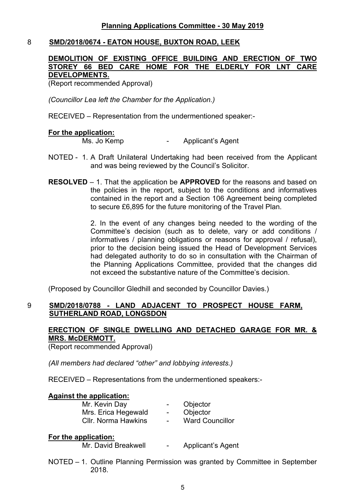#### 8 **SMD/2018/0674 - EATON HOUSE, BUXTON ROAD, LEEK**

#### **DEMOLITION OF EXISTING OFFICE BUILDING AND ERECTION OF TWO STOREY 66 BED CARE HOME FOR THE ELDERLY FOR LNT CARE DEVELOPMENTS.**

(Report recommended Approval)

*(Councillor Lea left the Chamber for the Application.)*

RECEIVED – Representation from the undermentioned speaker:-

#### **For the application:**

Ms. Jo Kemp **-** Applicant's Agent

- NOTED 1. A Draft Unilateral Undertaking had been received from the Applicant and was being reviewed by the Council's Solicitor.
- **RESOLVED** 1. That the application be **APPROVED** for the reasons and based on the policies in the report, subject to the conditions and informatives contained in the report and a Section 106 Agreement being completed to secure £6,895 for the future monitoring of the Travel Plan.

2. In the event of any changes being needed to the wording of the Committee's decision (such as to delete, vary or add conditions / informatives / planning obligations or reasons for approval / refusal), prior to the decision being issued the Head of Development Services had delegated authority to do so in consultation with the Chairman of the Planning Applications Committee, provided that the changes did not exceed the substantive nature of the Committee's decision.

(Proposed by Councillor Gledhill and seconded by Councillor Davies.)

#### 9 **SMD/2018/0788 - LAND ADJACENT TO PROSPECT HOUSE FARM, SUTHERLAND ROAD, LONGSDON**

#### **ERECTION OF SINGLE DWELLING AND DETACHED GARAGE FOR MR. & MRS. McDERMOTT.**

(Report recommended Approval)

*(All members had declared "other" and lobbying interests.)*

RECEIVED – Representations from the undermentioned speakers:-

#### **Against the application:**

| Mr. Kevin Day       | $\sim$                   | Objector               |
|---------------------|--------------------------|------------------------|
| Mrs. Erica Hegewald | $\sim$                   | Objector               |
| Cllr. Norma Hawkins | $\overline{\phantom{a}}$ | <b>Ward Councillor</b> |

#### **For the application:**

Mr. David Breakwell - Applicant's Agent

NOTED – 1. Outline Planning Permission was granted by Committee in September 2018.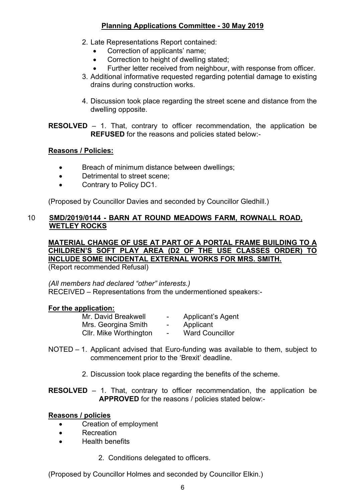### **Planning Applications Committee - 30 May 2019**

- 2. Late Representations Report contained:
	- Correction of applicants' name:
	- Correction to height of dwelling stated;
	- Further letter received from neighbour, with response from officer.
- 3. Additional informative requested regarding potential damage to existing drains during construction works.
- 4. Discussion took place regarding the street scene and distance from the dwelling opposite.

**RESOLVED** – 1. That, contrary to officer recommendation, the application be **REFUSED** for the reasons and policies stated below:-

#### **Reasons / Policies:**

- Breach of minimum distance between dwellings:
- Detrimental to street scene;
- Contrary to Policy DC1.

(Proposed by Councillor Davies and seconded by Councillor Gledhill.)

#### 10 **SMD/2019/0144 - BARN AT ROUND MEADOWS FARM, ROWNALL ROAD, WETLEY ROCKS**

## **MATERIAL CHANGE OF USE AT PART OF A PORTAL FRAME BUILDING TO A CHILDREN'S SOFT PLAY AREA (D2 OF THE USE CLASSES ORDER) TO INCLUDE SOME INCIDENTAL EXTERNAL WORKS FOR MRS. SMITH.**

(Report recommended Refusal)

*(All members had declared "other" interests.)* RECEIVED – Representations from the undermentioned speakers:-

#### **For the application:**

| Mr. David Breakwell    | $\sim$ | <b>Applicant's Agent</b> |
|------------------------|--------|--------------------------|
| Mrs. Georgina Smith    | $\sim$ | Applicant                |
| CIIr. Mike Worthington | $\sim$ | <b>Ward Councillor</b>   |

- NOTED 1. Applicant advised that Euro-funding was available to them, subject to commencement prior to the 'Brexit' deadline.
	- 2. Discussion took place regarding the benefits of the scheme.

**RESOLVED** – 1. That, contrary to officer recommendation, the application be **APPROVED** for the reasons / policies stated below:-

#### **Reasons / policies**

- Creation of employment
- Recreation
- Health benefits
	- 2. Conditions delegated to officers.

(Proposed by Councillor Holmes and seconded by Councillor Elkin.)